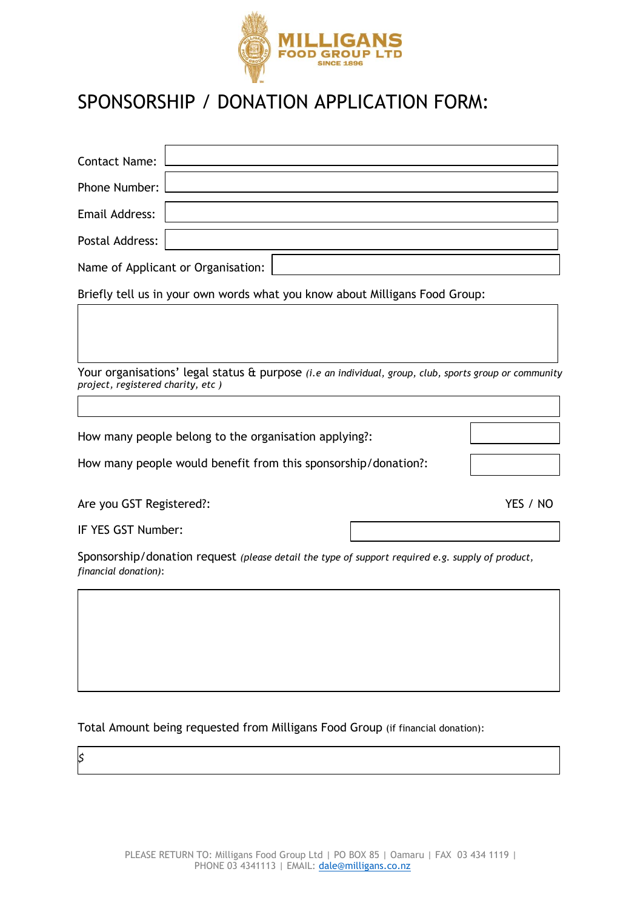

## SPONSORSHIP / DONATION APPLICATION FORM:

r

| <b>Contact Name:</b>                                  |                                                                                                  |  |  |                                                                                                                     |  |
|-------------------------------------------------------|--------------------------------------------------------------------------------------------------|--|--|---------------------------------------------------------------------------------------------------------------------|--|
| Phone Number:                                         |                                                                                                  |  |  |                                                                                                                     |  |
| Email Address:                                        |                                                                                                  |  |  |                                                                                                                     |  |
| Postal Address:                                       |                                                                                                  |  |  |                                                                                                                     |  |
|                                                       | Name of Applicant or Organisation:                                                               |  |  |                                                                                                                     |  |
|                                                       | Briefly tell us in your own words what you know about Milligans Food Group:                      |  |  |                                                                                                                     |  |
|                                                       |                                                                                                  |  |  |                                                                                                                     |  |
|                                                       |                                                                                                  |  |  |                                                                                                                     |  |
| project, registered charity, etc)                     |                                                                                                  |  |  | Your organisations' legal status $\theta$ purpose <i>(i.e an individual, group, club, sports group or community</i> |  |
|                                                       |                                                                                                  |  |  |                                                                                                                     |  |
| How many people belong to the organisation applying?: |                                                                                                  |  |  |                                                                                                                     |  |
|                                                       | How many people would benefit from this sponsorship/donation?:                                   |  |  |                                                                                                                     |  |
| Are you GST Registered?:                              |                                                                                                  |  |  | YES / NO                                                                                                            |  |
| IF YES GST Number:                                    |                                                                                                  |  |  |                                                                                                                     |  |
| financial donation):                                  | Sponsorship/donation request (please detail the type of support required e.g. supply of product, |  |  |                                                                                                                     |  |
|                                                       |                                                                                                  |  |  |                                                                                                                     |  |

Total Amount being requested from Milligans Food Group (if financial donation):

 $\mathbf s$ 

*\$*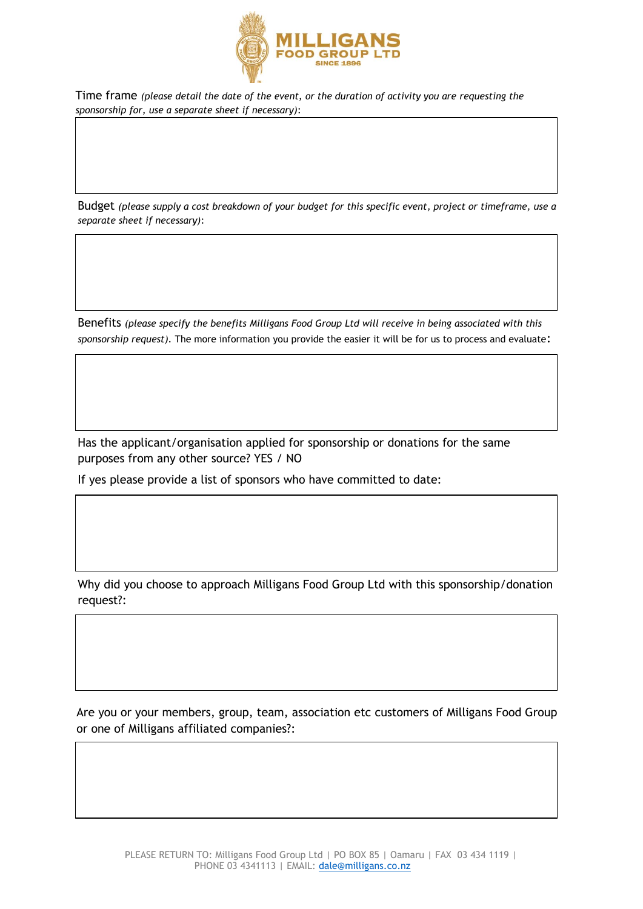

Time frame *(please detail the date of the event, or the duration of activity you are requesting the sponsorship for, use a separate sheet if necessary)*:

Budget *(please supply a cost breakdown of your budget for this specific event, project or timeframe, use a separate sheet if necessary)*:

Benefits *(please specify the benefits Milligans Food Group Ltd will receive in being associated with this sponsorship request).* The more information you provide the easier it will be for us to process and evaluate:

Has the applicant/organisation applied for sponsorship or donations for the same purposes from any other source? YES / NO

If yes please provide a list of sponsors who have committed to date:

Why did you choose to approach Milligans Food Group Ltd with this sponsorship/donation request?:

Are you or your members, group, team, association etc customers of Milligans Food Group or one of Milligans affiliated companies?: